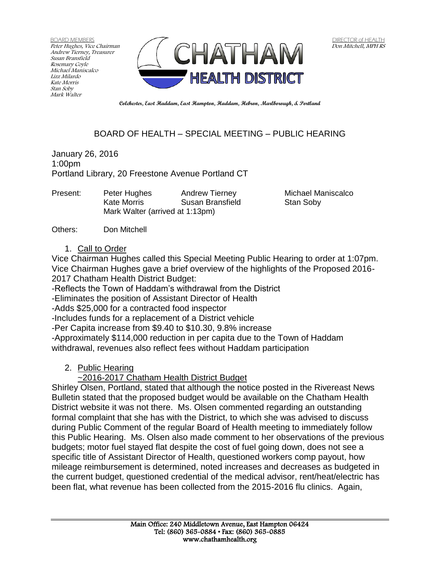BOARD MEMBERS Peter Hughes, Vice Chairman Andrew Tierney, Treasurer Susan Bransfield Rosemary Coyle Michael Maniscalco Lizz Milardo Kate Morris Stan Soby Mark Walter



**Colchester, East Haddam, East Hampton, Haddam, Hebron, Marlborough, & Portland**

## BOARD OF HEALTH – SPECIAL MEETING – PUBLIC HEARING

January 26, 2016 1:00pm Portland Library, 20 Freestone Avenue Portland CT

| Peter Hughes                    | <b>Andrew Tierney</b> |
|---------------------------------|-----------------------|
| Kate Morris                     | Susan Bransfield      |
| Mark Walter (arrived at 1:13pm) |                       |
|                                 |                       |

Michael Maniscalco Stan Soby

Others: Don Mitchell

## 1. Call to Order

Vice Chairman Hughes called this Special Meeting Public Hearing to order at 1:07pm. Vice Chairman Hughes gave a brief overview of the highlights of the Proposed 2016- 2017 Chatham Health District Budget:

-Reflects the Town of Haddam's withdrawal from the District

-Eliminates the position of Assistant Director of Health

-Adds \$25,000 for a contracted food inspector

-Includes funds for a replacement of a District vehicle

-Per Capita increase from \$9.40 to \$10.30, 9.8% increase

-Approximately \$114,000 reduction in per capita due to the Town of Haddam withdrawal, revenues also reflect fees without Haddam participation

2. Public Hearing

~2016-2017 Chatham Health District Budget

Shirley Olsen, Portland, stated that although the notice posted in the Rivereast News Bulletin stated that the proposed budget would be available on the Chatham Health District website it was not there. Ms. Olsen commented regarding an outstanding formal complaint that she has with the District, to which she was advised to discuss during Public Comment of the regular Board of Health meeting to immediately follow this Public Hearing. Ms. Olsen also made comment to her observations of the previous budgets; motor fuel stayed flat despite the cost of fuel going down, does not see a specific title of Assistant Director of Health, questioned workers comp payout, how mileage reimbursement is determined, noted increases and decreases as budgeted in the current budget, questioned credential of the medical advisor, rent/heat/electric has been flat, what revenue has been collected from the 2015-2016 flu clinics. Again,